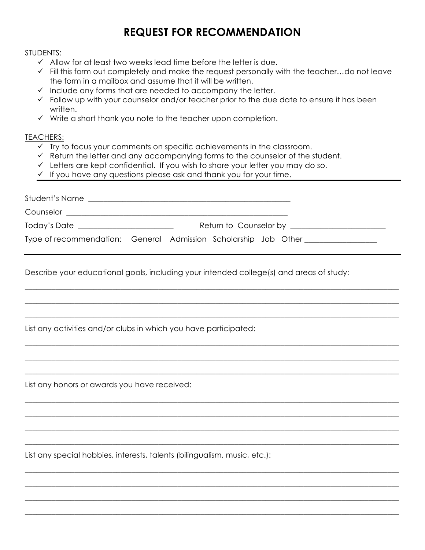## **REQUEST FOR RECOMMENDATION**

## STUDENTS:

- $\checkmark$  Allow for at least two weeks lead time before the letter is due.
- $\checkmark$  Fill this form out completely and make the request personally with the teacher...do not leave the form in a mailbox and assume that it will be written.
- $\checkmark$  Include any forms that are needed to accompany the letter.
- $\checkmark$  Follow up with your counselor and/or teacher prior to the due date to ensure it has been written.
- $\checkmark$  Write a short thank you note to the teacher upon completion.

## TEACHERS:

- $\checkmark$  Try to focus your comments on specific achievements in the classroom.
- $\checkmark$  Return the letter and any accompanying forms to the counselor of the student.
- $\checkmark$  Letters are kept confidential. If you wish to share your letter you may do so.
- $\checkmark$  If you have any questions please ask and thank you for your time.

| Student's Name                        | <u> 1989 - Jan Sarajević, politički predsjednik i politički predsjednik i politički karaliziran i politički preds</u> |
|---------------------------------------|-----------------------------------------------------------------------------------------------------------------------|
| Counselor <b>Counselor Counselor</b>  |                                                                                                                       |
| Today's Date ________________________ | Return to Counselor by <b>Example 2018</b> Return to Counselor by                                                     |
|                                       | Type of recommendation: General Admission Scholarship Job Other                                                       |

 $\_$  ,  $\_$  ,  $\_$  ,  $\_$  ,  $\_$  ,  $\_$  ,  $\_$  ,  $\_$  ,  $\_$  ,  $\_$  ,  $\_$  ,  $\_$  ,  $\_$  ,  $\_$  ,  $\_$  ,  $\_$  ,  $\_$  ,  $\_$  ,  $\_$  ,  $\_$  ,  $\_$  ,  $\_$  ,  $\_$  ,  $\_$  ,  $\_$  ,  $\_$  ,  $\_$  ,  $\_$  ,  $\_$  ,  $\_$  ,  $\_$  ,  $\_$  ,  $\_$  ,  $\_$  ,  $\_$  ,  $\_$  ,  $\_$  ,

\_\_\_\_\_\_\_\_\_\_\_\_\_\_\_\_\_\_\_\_\_\_\_\_\_\_\_\_\_\_\_\_\_\_\_\_\_\_\_\_\_\_\_\_\_\_\_\_\_\_\_\_\_\_\_\_\_\_\_\_\_\_\_\_\_\_\_\_\_\_\_\_\_\_\_\_\_\_\_\_\_\_\_\_\_\_\_\_\_\_\_\_\_\_\_\_\_\_

\_\_\_\_\_\_\_\_\_\_\_\_\_\_\_\_\_\_\_\_\_\_\_\_\_\_\_\_\_\_\_\_\_\_\_\_\_\_\_\_\_\_\_\_\_\_\_\_\_\_\_\_\_\_\_\_\_\_\_\_\_\_\_\_\_\_\_\_\_\_\_\_\_\_\_\_\_\_\_\_\_\_\_\_\_\_\_\_\_\_\_\_\_\_\_\_\_\_

\_\_\_\_\_\_\_\_\_\_\_\_\_\_\_\_\_\_\_\_\_\_\_\_\_\_\_\_\_\_\_\_\_\_\_\_\_\_\_\_\_\_\_\_\_\_\_\_\_\_\_\_\_\_\_\_\_\_\_\_\_\_\_\_\_\_\_\_\_\_\_\_\_\_\_\_\_\_\_\_\_\_\_\_\_\_\_\_\_\_\_\_\_\_\_\_\_\_

\_\_\_\_\_\_\_\_\_\_\_\_\_\_\_\_\_\_\_\_\_\_\_\_\_\_\_\_\_\_\_\_\_\_\_\_\_\_\_\_\_\_\_\_\_\_\_\_\_\_\_\_\_\_\_\_\_\_\_\_\_\_\_\_\_\_\_\_\_\_\_\_\_\_\_\_\_\_\_\_\_\_\_\_\_\_\_\_\_\_\_\_\_\_\_\_\_\_

\_\_\_\_\_\_\_\_\_\_\_\_\_\_\_\_\_\_\_\_\_\_\_\_\_\_\_\_\_\_\_\_\_\_\_\_\_\_\_\_\_\_\_\_\_\_\_\_\_\_\_\_\_\_\_\_\_\_\_\_\_\_\_\_\_\_\_\_\_\_\_\_\_\_\_\_\_\_\_\_\_\_\_\_\_\_\_\_\_\_\_\_\_\_\_\_\_\_

 $\_$  ,  $\_$  ,  $\_$  ,  $\_$  ,  $\_$  ,  $\_$  ,  $\_$  ,  $\_$  ,  $\_$  ,  $\_$  ,  $\_$  ,  $\_$  ,  $\_$  ,  $\_$  ,  $\_$  ,  $\_$  ,  $\_$  ,  $\_$  ,  $\_$  ,  $\_$  ,  $\_$  ,  $\_$  ,  $\_$  ,  $\_$  ,  $\_$  ,  $\_$  ,  $\_$  ,  $\_$  ,  $\_$  ,  $\_$  ,  $\_$  ,  $\_$  ,  $\_$  ,  $\_$  ,  $\_$  ,  $\_$  ,  $\_$  ,

\_\_\_\_\_\_\_\_\_\_\_\_\_\_\_\_\_\_\_\_\_\_\_\_\_\_\_\_\_\_\_\_\_\_\_\_\_\_\_\_\_\_\_\_\_\_\_\_\_\_\_\_\_\_\_\_\_\_\_\_\_\_\_\_\_\_\_\_\_\_\_\_\_\_\_\_\_\_\_\_\_\_\_\_\_\_\_\_\_\_\_\_\_\_\_\_\_\_

\_\_\_\_\_\_\_\_\_\_\_\_\_\_\_\_\_\_\_\_\_\_\_\_\_\_\_\_\_\_\_\_\_\_\_\_\_\_\_\_\_\_\_\_\_\_\_\_\_\_\_\_\_\_\_\_\_\_\_\_\_\_\_\_\_\_\_\_\_\_\_\_\_\_\_\_\_\_\_\_\_\_\_\_\_\_\_\_\_\_\_\_\_\_\_\_\_\_

 $\_$  ,  $\_$  ,  $\_$  ,  $\_$  ,  $\_$  ,  $\_$  ,  $\_$  ,  $\_$  ,  $\_$  ,  $\_$  ,  $\_$  ,  $\_$  ,  $\_$  ,  $\_$  ,  $\_$  ,  $\_$  ,  $\_$  ,  $\_$  ,  $\_$  ,  $\_$  ,  $\_$  ,  $\_$  ,  $\_$  ,  $\_$  ,  $\_$  ,  $\_$  ,  $\_$  ,  $\_$  ,  $\_$  ,  $\_$  ,  $\_$  ,  $\_$  ,  $\_$  ,  $\_$  ,  $\_$  ,  $\_$  ,  $\_$  ,

\_\_\_\_\_\_\_\_\_\_\_\_\_\_\_\_\_\_\_\_\_\_\_\_\_\_\_\_\_\_\_\_\_\_\_\_\_\_\_\_\_\_\_\_\_\_\_\_\_\_\_\_\_\_\_\_\_\_\_\_\_\_\_\_\_\_\_\_\_\_\_\_\_\_\_\_\_\_\_\_\_\_\_\_\_\_\_\_\_\_\_\_\_\_\_\_\_\_

\_\_\_\_\_\_\_\_\_\_\_\_\_\_\_\_\_\_\_\_\_\_\_\_\_\_\_\_\_\_\_\_\_\_\_\_\_\_\_\_\_\_\_\_\_\_\_\_\_\_\_\_\_\_\_\_\_\_\_\_\_\_\_\_\_\_\_\_\_\_\_\_\_\_\_\_\_\_\_\_\_\_\_\_\_\_\_\_\_\_\_\_\_\_\_\_\_\_

\_\_\_\_\_\_\_\_\_\_\_\_\_\_\_\_\_\_\_\_\_\_\_\_\_\_\_\_\_\_\_\_\_\_\_\_\_\_\_\_\_\_\_\_\_\_\_\_\_\_\_\_\_\_\_\_\_\_\_\_\_\_\_\_\_\_\_\_\_\_\_\_\_\_\_\_\_\_\_\_\_\_\_\_\_\_\_\_\_\_\_\_\_\_\_\_\_\_

\_\_\_\_\_\_\_\_\_\_\_\_\_\_\_\_\_\_\_\_\_\_\_\_\_\_\_\_\_\_\_\_\_\_\_\_\_\_\_\_\_\_\_\_\_\_\_\_\_\_\_\_\_\_\_\_\_\_\_\_\_\_\_\_\_\_\_\_\_\_\_\_\_\_\_\_\_\_\_\_\_\_\_\_\_\_\_\_\_\_\_\_\_\_\_\_\_\_

Describe your educational goals, including your intended college(s) and areas of study:

List any activities and/or clubs in which you have participated:

List any honors or awards you have received:

List any special hobbies, interests, talents (bilingualism, music, etc.):